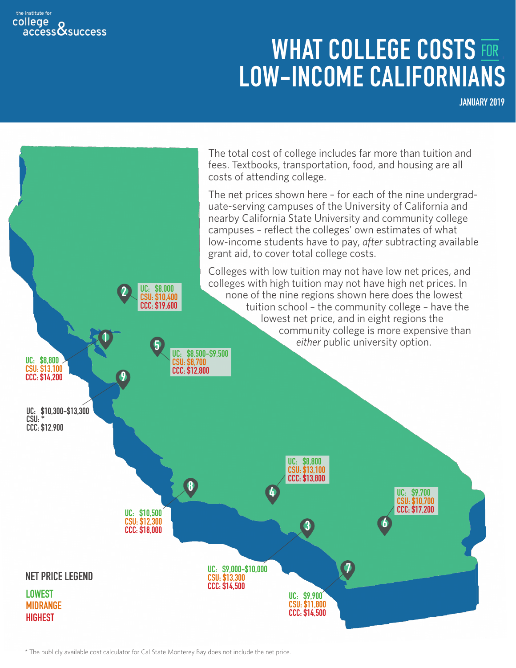#### the institute for college <sup>)</sup>llege<br>access**&**success

# **WHAT COLLEGE COSTS FOR<br>LOW-INCOME CALIFORNIANS**

**JANUARY 2019**



\* The publicly available cost calculator for Cal State Monterey Bay does not include the net price.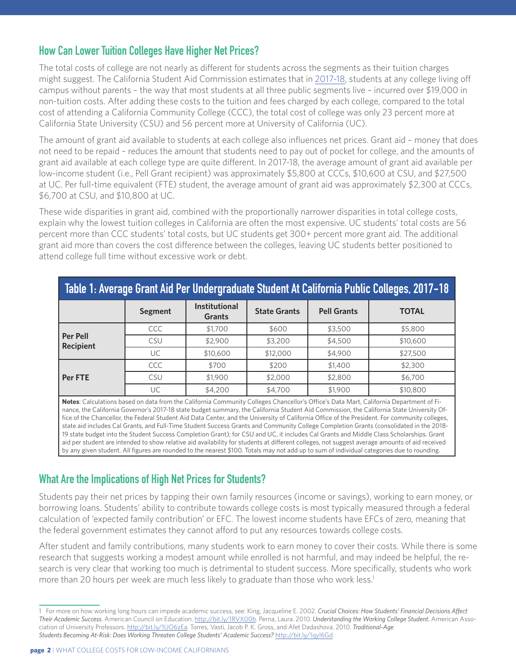# **How Can Lower Tuition Colleges Have Higher Net Prices?**

The total costs of college are not nearly as different for students across the segments as their tuition charges might suggest. The California Student Aid Commission estimates that in [2017-18](https://www.csac.ca.gov/sites/main/files/file-attachments/2017-18_studentexpensebudget.pdf ), students at any college living off campus without parents – the way that most students at all three public segments live – incurred over \$19,000 in non-tuition costs. After adding these costs to the tuition and fees charged by each college, compared to the total cost of attending a California Community College (CCC), the total cost of college was only 23 percent more at California State University (CSU) and 56 percent more at University of California (UC).

The amount of grant aid available to students at each college also influences net prices. Grant aid – money that does not need to be repaid – reduces the amount that students need to pay out of pocket for college, and the amounts of grant aid available at each college type are quite different. In 2017-18, the average amount of grant aid available per low-income student (i.e., Pell Grant recipient) was approximately \$5,800 at CCCs, \$10,600 at CSU, and \$27,500 at UC. Per full-time equivalent (FTE) student, the average amount of grant aid was approximately \$2,300 at CCCs, \$6,700 at CSU, and \$10,800 at UC.

These wide disparities in grant aid, combined with the proportionally narrower disparities in total college costs, explain why the lowest tuition colleges in California are often the most expensive. UC students' total costs are 56 percent more than CCC students' total costs, but UC students get 300+ percent more grant aid. The additional grant aid more than covers the cost difference between the colleges, leaving UC students better positioned to attend college full time without excessive work or debt.

| Table 1: Average Grant Aid Per Undergraduate Student At California Public Colleges, 2017-18 |                |                                |                     |                    |              |  |  |  |
|---------------------------------------------------------------------------------------------|----------------|--------------------------------|---------------------|--------------------|--------------|--|--|--|
|                                                                                             | <b>Segment</b> | Institutional<br><b>Grants</b> | <b>State Grants</b> | <b>Pell Grants</b> | <b>TOTAL</b> |  |  |  |
|                                                                                             | CCC            | \$1,700                        | \$600               | \$3,500            | \$5,800      |  |  |  |
| Per Pell<br><b>Recipient</b>                                                                | <b>CSU</b>     | \$2,900                        | \$3,200             | \$4,500            | \$10,600     |  |  |  |
|                                                                                             | UC             | \$10,600                       | \$12,000            | \$4,900            | \$27,500     |  |  |  |
|                                                                                             | CCC            | \$700                          | \$200               | \$1,400            | \$2,300      |  |  |  |
| <b>Per FTE</b>                                                                              | CSU            | \$1,900                        | \$2,000             | \$2,800            | \$6,700      |  |  |  |
|                                                                                             | UC             | \$4,200                        | \$4,700             | \$1,900            | \$10,800     |  |  |  |

**Notes**: Calculations based on data from the California Community Colleges Chancellor's Office's Data Mart, California Department of Finance, the California Governor's 2017-18 state budget summary, the California Student Aid Commission, the California State University Office of the Chancellor, the Federal Student Aid Data Center, and the University of California Office of the President. For community colleges, state aid includes Cal Grants, and Full-Time Student Success Grants and Community College Completion Grants (consolidated in the 2018- 19 state budget into the Student Success Completion Grant); for CSU and UC, it includes Cal Grants and Middle Class Scholarships. Grant aid per student are intended to show relative aid availability for students at different colleges, not suggest average amounts of aid received by any given student. All figures are rounded to the nearest \$100. Totals may not add up to sum of individual categories due to rounding.

# **What Are the Implications of High Net Prices for Students?**

Students pay their net prices by tapping their own family resources (income or savings), working to earn money, or borrowing loans. Students' ability to contribute towards college costs is most typically measured through a federal calculation of 'expected family contribution' or EFC. The lowest income students have EFCs of zero, meaning that the federal government estimates they cannot afford to put any resources towards college costs.

After student and family contributions, many students work to earn money to cover their costs. While there is some research that suggests working a modest amount while enrolled is not harmful, and may indeed be helpful, the research is very clear that working too much is detrimental to student success. More specifically, students who work more than 20 hours per week are much less likely to graduate than those who work less.<sup>1</sup>

<sup>1</sup> For more on how working long hours can impede academic success, see: King, Jacqueline E. 2002. *Crucial Choices: How Students' Financial Decisions Affect Their Academic Success*. American Council on Education. http://bit.ly/1RVX00b. Perna, Laura. 2010. *Understanding the Working College Student*. American Association of University Professors. http://bit.ly/1UO6zEa. Torres, Vasti, Jacob P. K. Gross, and Afet Dadashova. 2010. *Traditional-Age Students Becoming At-Risk: Does Working Threaten College Students' Academic Success?* http://bit.ly/1qyI6Gd.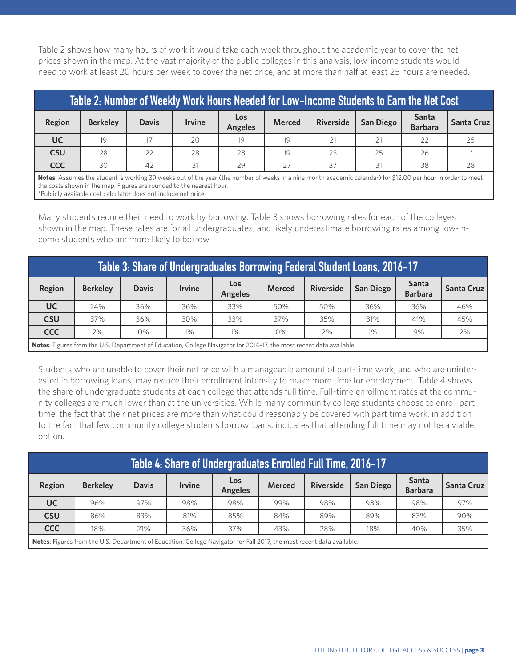Table 2 shows how many hours of work it would take each week throughout the academic year to cover the net prices shown in the map. At the vast majority of the public colleges in this analysis, low-income students would need to work at least 20 hours per week to cover the net price, and at more than half at least 25 hours are needed.

| Table 2: Number of Weekly Work Hours Needed for Low-Income Students to Earn the Net Cost                                                                                                                                             |                 |              |               |                       |               |                  |                  |                                |                   |  |
|--------------------------------------------------------------------------------------------------------------------------------------------------------------------------------------------------------------------------------------|-----------------|--------------|---------------|-----------------------|---------------|------------------|------------------|--------------------------------|-------------------|--|
| Region                                                                                                                                                                                                                               | <b>Berkeley</b> | <b>Davis</b> | <b>Irvine</b> | Los<br><b>Angeles</b> | <b>Merced</b> | <b>Riverside</b> | <b>San Diego</b> | <b>Santa</b><br><b>Barbara</b> | <b>Santa Cruz</b> |  |
| <b>UC</b>                                                                                                                                                                                                                            | 19              |              | 20            | 19                    | 19            | 21               | 21               | 22                             | 25                |  |
| <b>CSU</b>                                                                                                                                                                                                                           | 28              | 22           | 28            | 28                    | 19            | 23               | 25               | 26                             |                   |  |
| <b>CCC</b>                                                                                                                                                                                                                           | 30              | 42           | 31            | 29                    | 27            | 37               | 31               | 38                             | 28                |  |
| Notes: Assumes the student is working 39 weeks out of the year (the number of weeks in a nine month academic calendar) for \$12.00 per hour in order to meet<br>the costs shown in the map. Figures are rounded to the nearest hour. |                 |              |               |                       |               |                  |                  |                                |                   |  |

\*Publicly available cost calculator does not include net price.

Many students reduce their need to work by borrowing. Table 3 shows borrowing rates for each of the colleges shown in the map. These rates are for all undergraduates, and likely underestimate borrowing rates among low-income students who are more likely to borrow.

| Table 3: Share of Undergraduates Borrowing Federal Student Loans, 2016-17                                         |                 |              |               |                              |               |                  |                  |                         |            |
|-------------------------------------------------------------------------------------------------------------------|-----------------|--------------|---------------|------------------------------|---------------|------------------|------------------|-------------------------|------------|
| Region                                                                                                            | <b>Berkelev</b> | <b>Davis</b> | <b>Irvine</b> | <b>Los</b><br><b>Angeles</b> | <b>Merced</b> | <b>Riverside</b> | <b>San Diego</b> | Santa<br><b>Barbara</b> | Santa Cruz |
| UC.                                                                                                               | 24%             | 36%          | 36%           | 33%                          | 50%           | 50%              | 36%              | 36%                     | 46%        |
| <b>CSU</b>                                                                                                        | 37%             | 36%          | 30%           | 33%                          | 37%           | 35%              | 31%              | 41%                     | 45%        |
| <b>CCC</b>                                                                                                        | 2%              | 0%           | $1\%$         | $1\%$                        | 0%            | 2%               | $1\%$            | 9%                      | 2%         |
| Notes: Eigures from the LLS, Department of Education College Navigator for 2016 17 the mest recent data available |                 |              |               |                              |               |                  |                  |                         |            |

**Notes**: Figures from the U.S. Department of Education, College Navigator for 2016-17, the most recent data available.

Students who are unable to cover their net price with a manageable amount of part-time work, and who are uninterested in borrowing loans, may reduce their enrollment intensity to make more time for employment. Table 4 shows the share of undergraduate students at each college that attends full time. Full-time enrollment rates at the community colleges are much lower than at the universities. While many community college students choose to enroll part time, the fact that their net prices are more than what could reasonably be covered with part time work, in addition to the fact that few community college students borrow loans, indicates that attending full time may not be a viable option.

| Table 4: Share of Undergraduates Enrolled Full Time, 2016-17                                                                          |                 |              |               |                              |               |                  |                  |                         |              |
|---------------------------------------------------------------------------------------------------------------------------------------|-----------------|--------------|---------------|------------------------------|---------------|------------------|------------------|-------------------------|--------------|
| Region                                                                                                                                | <b>Berkelev</b> | <b>Davis</b> | <b>Irvine</b> | <b>Los</b><br><b>Angeles</b> | <b>Merced</b> | <b>Riverside</b> | <b>San Diego</b> | Santa<br><b>Barbara</b> | Santa Cruz I |
| <b>UC</b>                                                                                                                             | 96%             | 97%          | 98%           | 98%                          | 99%           | 98%              | 98%              | 98%                     | 97%          |
| <b>CSU</b>                                                                                                                            | 86%             | 83%          | 81%           | 85%                          | 84%           | 89%              | 89%              | 83%                     | 90%          |
| <b>CCC</b>                                                                                                                            | 18%             | 21%          | 36%           | 37%                          | 43%           | 28%              | 18%              | 40%                     | 35%          |
| $\blacksquare$ Netse: Equippe from the LLS, Department of Education, College Navigator for Eall 2017, the meet recent data available. |                 |              |               |                              |               |                  |                  |                         |              |

Department of Education, College Navigator for Fall 2017, the most recent data available.